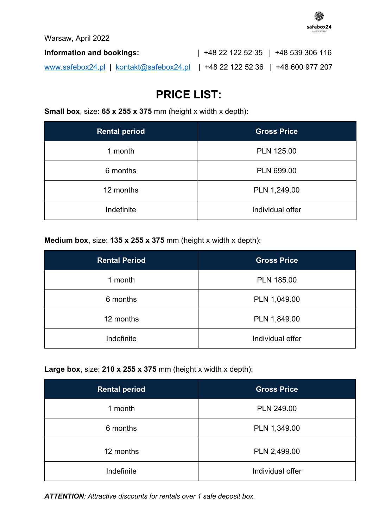

Warsaw, April 2022

| Information and bookings: |                                                                              | $ $ +48 22 122 52 35 $ $ +48 539 306 116 |  |  |
|---------------------------|------------------------------------------------------------------------------|------------------------------------------|--|--|
|                           | www.safebox24.pl   kontakt@safebox24.pl   +48 22 122 52 36   +48 600 977 207 |                                          |  |  |

# **PRICE LIST:**

**Small box**, size: **65 x 255 x 375** mm (height x width x depth):

| <b>Rental period</b> | <b>Gross Price</b> |
|----------------------|--------------------|
| 1 month              | <b>PLN 125.00</b>  |
| 6 months             | PLN 699.00         |
| 12 months            | PLN 1,249.00       |
| Indefinite           | Individual offer   |

**Medium box**, size: **135 x 255 x 375** mm (height x width x depth):

| <b>Rental Period</b> | <b>Gross Price</b> |  |
|----------------------|--------------------|--|
| 1 month              | <b>PLN 185.00</b>  |  |
| 6 months             | PLN 1,049.00       |  |
| 12 months            | PLN 1,849.00       |  |
| Indefinite           | Individual offer   |  |

**Large box**, size: **210 x 255 x 375** mm (height x width x depth):

| <b>Rental period</b> | <b>Gross Price</b> |  |
|----------------------|--------------------|--|
| 1 month              | <b>PLN 249.00</b>  |  |
| 6 months             | PLN 1,349.00       |  |
| 12 months            | PLN 2,499.00       |  |
| Indefinite           | Individual offer   |  |

*ATTENTION: Attractive discounts for rentals over 1 safe deposit box.*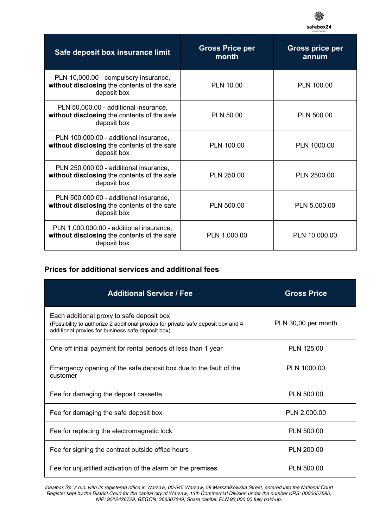

| Safe deposit box insurance limit                                                                       | <b>Gross Price per</b><br>month | <b>Gross price per</b><br>annum |
|--------------------------------------------------------------------------------------------------------|---------------------------------|---------------------------------|
| PLN 10,000.00 - compulsory insurance,<br>without disclosing the contents of the safe<br>deposit box    | <b>PLN 10.00</b>                | PLN 100.00                      |
| PLN 50,000.00 - additional insurance,<br>without disclosing the contents of the safe<br>deposit box    | <b>PLN 50.00</b>                | <b>PLN 500.00</b>               |
| PLN 100,000.00 - additional insurance,<br>without disclosing the contents of the safe<br>deposit box   | <b>PLN 100.00</b>               | PLN 1000.00                     |
| PLN 250,000.00 - additional insurance,<br>without disclosing the contents of the safe<br>deposit box   | PLN 250.00                      | PLN 2500.00                     |
| PLN 500,000.00 - additional insurance,<br>without disclosing the contents of the safe<br>deposit box   | <b>PLN 500.00</b>               | PLN 5,000.00                    |
| PLN 1,000,000.00 - additional insurance,<br>without disclosing the contents of the safe<br>deposit box | PLN 1,000.00                    | PLN 10,000.00                   |

### **Prices for additional services and additional fees**

| <b>Additional Service / Fee</b>                                                                                                                                                     | <b>Gross Price</b>  |
|-------------------------------------------------------------------------------------------------------------------------------------------------------------------------------------|---------------------|
| Each additional proxy to safe deposit box<br>(Possibility to authorize 2 additional proxies for private safe deposit box and 4<br>additional proxies for business safe deposit box) | PLN 30,00 per month |
| One-off initial payment for rental periods of less than 1 year                                                                                                                      | PLN 125.00          |
| Emergency opening of the safe deposit box due to the fault of the<br>customer                                                                                                       | PLN 1000.00         |
| Fee for damaging the deposit cassette                                                                                                                                               | PLN 500.00          |
| Fee for damaging the safe deposit box                                                                                                                                               | PLN 2,000.00        |
| Fee for replacing the electromagnetic lock                                                                                                                                          | <b>PLN 500.00</b>   |
| Fee for signing the contract outside office hours                                                                                                                                   | PLN 200.00          |
| Fee for unjustified activation of the alarm on the premises                                                                                                                         | PLN 500.00          |

*Idealbox Sp. z o.o. with its registered office in Warsaw, 00-545 Warsaw, 58 Marsza*ł*kowska Street, entered into the National Court Register kept by the District Court for the capital city of Warsaw, 13th Commercial Division under the number KRS: 0000657685, NIP: 9512426729, REGON: 366307249, Share capital: PLN 93,000.00 fully paid-up.*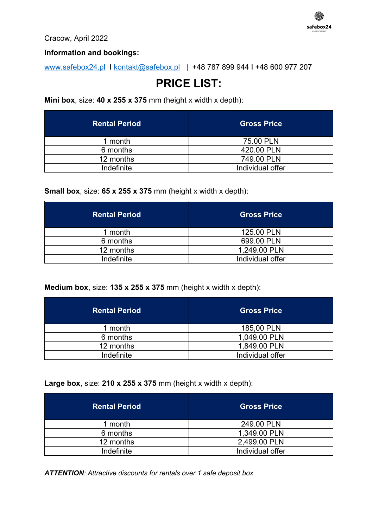

Cracow, April 2022

### **Information and bookings:**

www.safebox24.pl I kontakt@safebox.pl | +48 787 899 944 I +48 600 977 207

## **PRICE LIST:**

**Mini box**, size: **40 x 255 x 375** mm (height x width x depth):

| <b>Rental Period</b> | <b>Gross Price</b> |
|----------------------|--------------------|
| 1 month              | 75.00 PLN          |
| 6 months             | 420.00 PLN         |
| 12 months            | 749.00 PLN         |
| Indefinite           | Individual offer   |

**Small box**, size: **65 x 255 x 375** mm (height x width x depth):

| <b>Rental Period</b> | <b>Gross Price</b> |  |
|----------------------|--------------------|--|
| 1 month              | 125.00 PLN         |  |
| 6 months             | 699.00 PLN         |  |
| 12 months            | 1,249.00 PLN       |  |
| Indefinite           | Individual offer   |  |

**Medium box**, size: **135 x 255 x 375** mm (height x width x depth):

| <b>Rental Period</b> | <b>Gross Price</b> |  |
|----------------------|--------------------|--|
| 1 month              | 185,00 PLN         |  |
| 6 months             | 1,049.00 PLN       |  |
| 12 months            | 1,849.00 PLN       |  |
| Indefinite           | Individual offer   |  |

**Large box**, size: **210 x 255 x 375** mm (height x width x depth):

| <b>Rental Period</b> | <b>Gross Price</b> |  |
|----------------------|--------------------|--|
| 1 month              | 249.00 PLN         |  |
| 6 months             | 1,349.00 PLN       |  |
| 12 months            | 2,499.00 PLN       |  |
| Indefinite           | Individual offer   |  |

*ATTENTION: Attractive discounts for rentals over 1 safe deposit box.*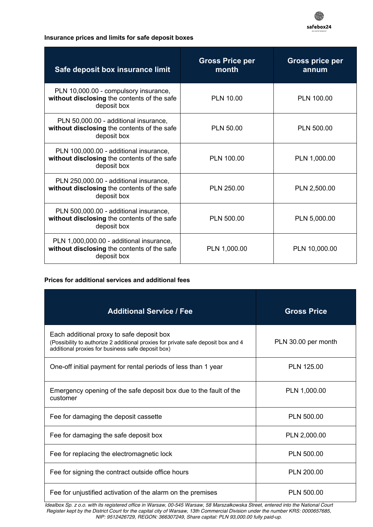

#### **Insurance prices and limits for safe deposit boxes**

| Safe deposit box insurance limit                                                                       | <b>Gross Price per</b><br>month | <b>Gross price per</b><br>annum |
|--------------------------------------------------------------------------------------------------------|---------------------------------|---------------------------------|
| PLN 10,000.00 - compulsory insurance,<br>without disclosing the contents of the safe<br>deposit box    | <b>PLN 10.00</b>                | PLN 100.00                      |
| PLN 50,000.00 - additional insurance,<br>without disclosing the contents of the safe<br>deposit box    | <b>PLN 50.00</b>                | <b>PLN 500.00</b>               |
| PLN 100,000.00 - additional insurance,<br>without disclosing the contents of the safe<br>deposit box   | PLN 100.00                      | PLN 1,000.00                    |
| PLN 250,000.00 - additional insurance,<br>without disclosing the contents of the safe<br>deposit box   | PLN 250.00                      | PLN 2,500.00                    |
| PLN 500,000.00 - additional insurance,<br>without disclosing the contents of the safe<br>deposit box   | PLN 500.00                      | PLN 5,000.00                    |
| PLN 1,000,000.00 - additional insurance,<br>without disclosing the contents of the safe<br>deposit box | PLN 1,000.00                    | PLN 10,000.00                   |

#### **Prices for additional services and additional fees**

| <b>Additional Service / Fee</b>                                                                                                                                                     | <b>Gross Price</b>  |
|-------------------------------------------------------------------------------------------------------------------------------------------------------------------------------------|---------------------|
| Each additional proxy to safe deposit box<br>(Possibility to authorize 2 additional proxies for private safe deposit box and 4<br>additional proxies for business safe deposit box) | PLN 30.00 per month |
| One-off initial payment for rental periods of less than 1 year                                                                                                                      | PLN 125.00          |
| Emergency opening of the safe deposit box due to the fault of the<br>customer                                                                                                       | PLN 1,000.00        |
| Fee for damaging the deposit cassette                                                                                                                                               | <b>PLN 500.00</b>   |
| Fee for damaging the safe deposit box                                                                                                                                               | PLN 2,000.00        |
| Fee for replacing the electromagnetic lock                                                                                                                                          | PLN 500.00          |
| Fee for signing the contract outside office hours                                                                                                                                   | PLN 200.00          |
| Fee for unjustified activation of the alarm on the premises                                                                                                                         | <b>PLN 500.00</b>   |

*Idealbox Sp. z o.o. with its registered office in Warsaw, 00-545 Warsaw, 58 Marsza*ł*kowska Street, entered into the National Court Register kept by the District Court for the capital city of Warsaw, 13th Commercial Division under the number KRS: 0000657685, NIP: 9512426729, REGON: 366307249, Share capital: PLN 93,000.00 fully paid-up.*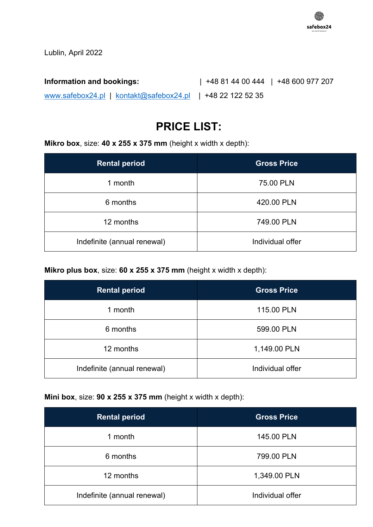

Lublin, April 2022

**Information and bookings:** | +48 81 44 00 444 | +48 600 977 207 www.safebox24.pl | kontakt@safebox24.pl | +48 22 122 52 35

# **PRICE LIST:**

**Mikro box**, size: **40 x 255 x 375 mm** (height x width x depth):

| <b>Rental period</b>        | <b>Gross Price</b> |
|-----------------------------|--------------------|
| 1 month                     | 75.00 PLN          |
| 6 months                    | 420.00 PLN         |
| 12 months                   | 749.00 PLN         |
| Indefinite (annual renewal) | Individual offer   |

**Mikro plus box**, size: **60 x 255 x 375 mm** (height x width x depth):

| <b>Rental period</b>        | <b>Gross Price</b> |  |
|-----------------------------|--------------------|--|
| 1 month                     | 115.00 PLN         |  |
| 6 months                    | 599.00 PLN         |  |
| 12 months                   | 1,149.00 PLN       |  |
| Indefinite (annual renewal) | Individual offer   |  |

### **Mini box**, size: **90 x 255 x 375 mm** (height x width x depth):

| <b>Rental period</b>        | <b>Gross Price</b> |  |
|-----------------------------|--------------------|--|
| 1 month                     | 145.00 PLN         |  |
| 6 months                    | 799.00 PLN         |  |
| 12 months                   | 1,349.00 PLN       |  |
| Indefinite (annual renewal) | Individual offer   |  |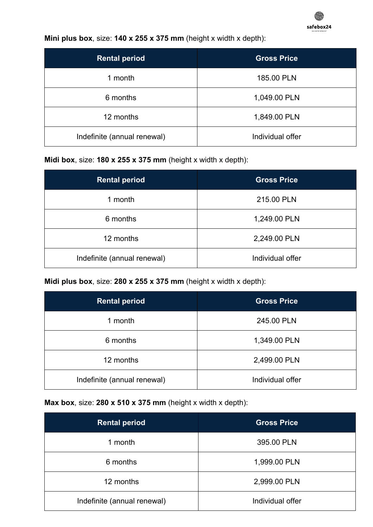

**Mini plus box**, size: **140 x 255 x 375 mm** (height x width x depth):

| <b>Rental period</b>        | <b>Gross Price</b> |
|-----------------------------|--------------------|
| 1 month                     | 185.00 PLN         |
| 6 months                    | 1,049.00 PLN       |
| 12 months                   | 1,849.00 PLN       |
| Indefinite (annual renewal) | Individual offer   |

**Midi box**, size: **180 x 255 x 375 mm** (height x width x depth):

| <b>Rental period</b>        | <b>Gross Price</b> |
|-----------------------------|--------------------|
| 1 month                     | 215.00 PLN         |
| 6 months                    | 1,249.00 PLN       |
| 12 months                   | 2,249.00 PLN       |
| Indefinite (annual renewal) | Individual offer   |

**Midi plus box**, size: **280 x 255 x 375 mm** (height x width x depth):

| <b>Rental period</b>        | <b>Gross Price</b> |  |
|-----------------------------|--------------------|--|
| 1 month                     | 245.00 PLN         |  |
| 6 months                    | 1,349.00 PLN       |  |
| 12 months                   | 2,499.00 PLN       |  |
| Indefinite (annual renewal) | Individual offer   |  |

**Max box**, size: **280 x 510 x 375 mm** (height x width x depth):

| <b>Rental period</b>        | <b>Gross Price</b> |
|-----------------------------|--------------------|
| 1 month                     | 395.00 PLN         |
| 6 months                    | 1,999.00 PLN       |
| 12 months                   | 2,999.00 PLN       |
| Indefinite (annual renewal) | Individual offer   |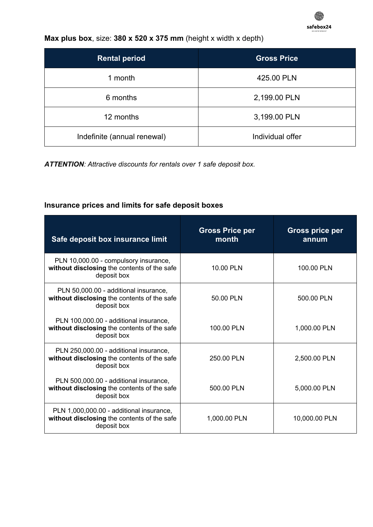

### **Max plus box**, size: **380 x 520 x 375 mm** (height x width x depth)

| <b>Rental period</b>        | <b>Gross Price</b> |
|-----------------------------|--------------------|
| 1 month                     | 425.00 PLN         |
| 6 months                    | 2,199.00 PLN       |
| 12 months                   | 3,199.00 PLN       |
| Indefinite (annual renewal) | Individual offer   |

*ATTENTION: Attractive discounts for rentals over 1 safe deposit box.*

## **Insurance prices and limits for safe deposit boxes**

| Safe deposit box insurance limit                                                                       | <b>Gross Price per</b><br>month | <b>Gross price per</b><br>annum |
|--------------------------------------------------------------------------------------------------------|---------------------------------|---------------------------------|
| PLN 10,000.00 - compulsory insurance,<br>without disclosing the contents of the safe<br>deposit box    | 10.00 PLN                       | 100.00 PLN                      |
| PLN 50,000.00 - additional insurance,<br>without disclosing the contents of the safe<br>deposit box    | 50.00 PLN                       | 500.00 PLN                      |
| PLN 100,000.00 - additional insurance,<br>without disclosing the contents of the safe<br>deposit box   | 100.00 PLN                      | 1,000.00 PLN                    |
| PLN 250,000.00 - additional insurance,<br>without disclosing the contents of the safe<br>deposit box   | 250.00 PLN                      | 2,500.00 PLN                    |
| PLN 500,000.00 - additional insurance,<br>without disclosing the contents of the safe<br>deposit box   | 500.00 PLN                      | 5,000.00 PLN                    |
| PLN 1,000,000.00 - additional insurance,<br>without disclosing the contents of the safe<br>deposit box | 1,000.00 PLN                    | 10,000.00 PLN                   |